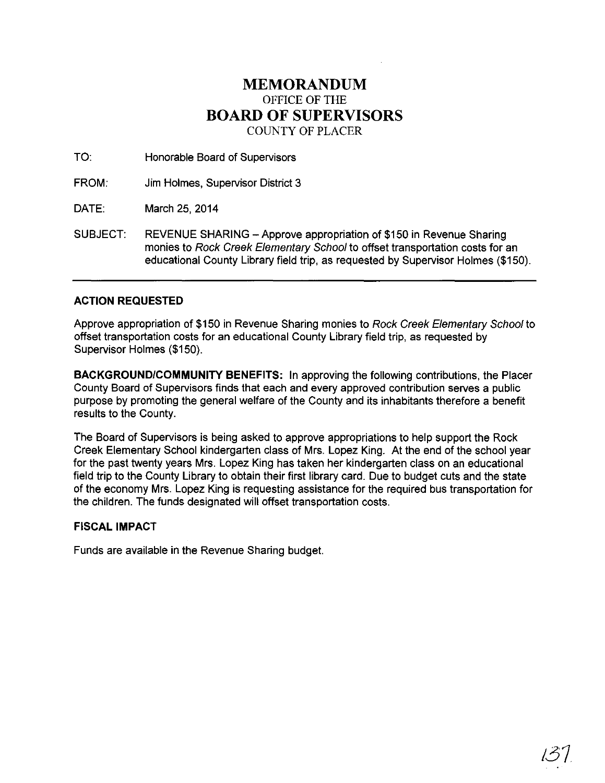## **MEMORANDUM**  OFFICE OF THE **BOARD OF SUPERVISORS**  COUNTY OF PLACER

TO: Honorable Board of Supervisors

FROM: Jim Holmes, Supervisor District 3

DATE: March 25, 2014

SUBJECT: REVENUE SHARING- Approve appropriation of \$150 in Revenue Sharing monies to Rock Creek Elementary School to offset transportation costs for an educational County Library field trip, as requested by Supervisor Holmes (\$150).

### **ACTION REQUESTED**

Approve appropriation of \$150 in Revenue Sharing monies to Rock Creek Elementary School to offset transportation costs for an educational County Library field trip, as requested by Supervisor Holmes (\$150).

**BACKGROUND/COMMUNITY BENEFITS:** In approving the following contributions, the Placer County Board of Supervisors finds that each and every approved contribution serves a public purpose by promoting the general welfare of the County and its inhabitants therefore a benefit results to the County.

The Board of Supervisors is being asked to approve appropriations to help support the Rock Creek Elementary School kindergarten class of Mrs. Lopez King. At the end of the school year for the past twenty years Mrs. Lopez King has taken her kindergarten class on an educational field trip to the County Library to obtain their first library card. Due to budget cuts and the state of the economy Mrs. Lopez King is requesting assistance for the required bus transportation for the children. The funds designated will offset transportation costs.

### **FISCAL IMPACT**

Funds are available in the Revenue Sharing budget.